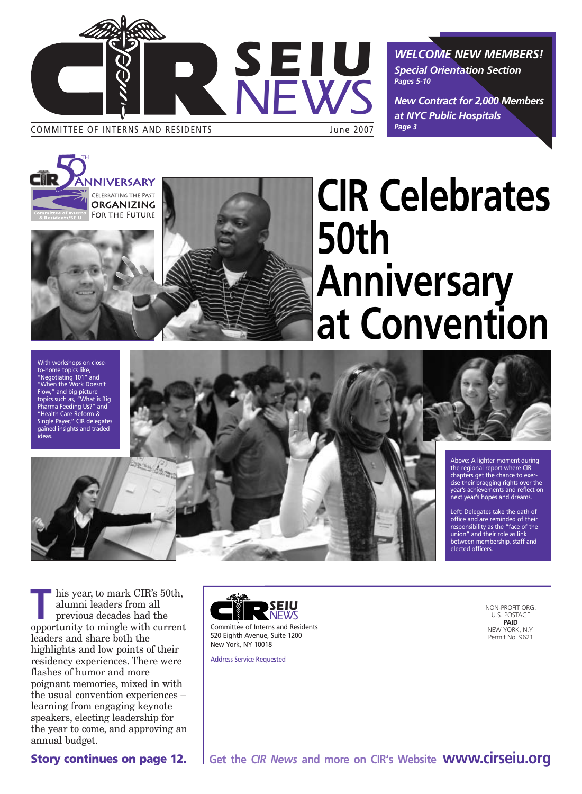

*WELCOME NEW MEMBERS! Special Orientation Section Pages 5-10*

*New Contract for 2,000 Members at NYC Public Hospitals Page 3*





With workshops on closeto-home topics like, "Negotiating 101" and "When the Work Doesn't Flow," and big-picture topics such as, "What is Big Pharma Feeding Us?" and "Health Care Reform & Single Payer," CIR delegates gained insights and traded ideas.



his year, to mark CIR's 50th,<br>alumni leaders from all<br>previous decades had the<br>connectunity to mingle with current alumni leaders from all previous decades had the opportunity to mingle with current leaders and share both the highlights and low points of their residency experiences. There were flashes of humor and more poignant memories, mixed in with the usual convention experiences – learning from engaging keynote speakers, electing leadership for the year to come, and approving an annual budget.



Committee of Interns and Residents 520 Eighth Avenue, Suite 1200 New York, NY 10018

Address Service Requested

NON-PROFIT ORG. U.S. POSTAGE **PAID** NEW YORK, N.Y. Permit No. 9621

**Story continues on page 12.**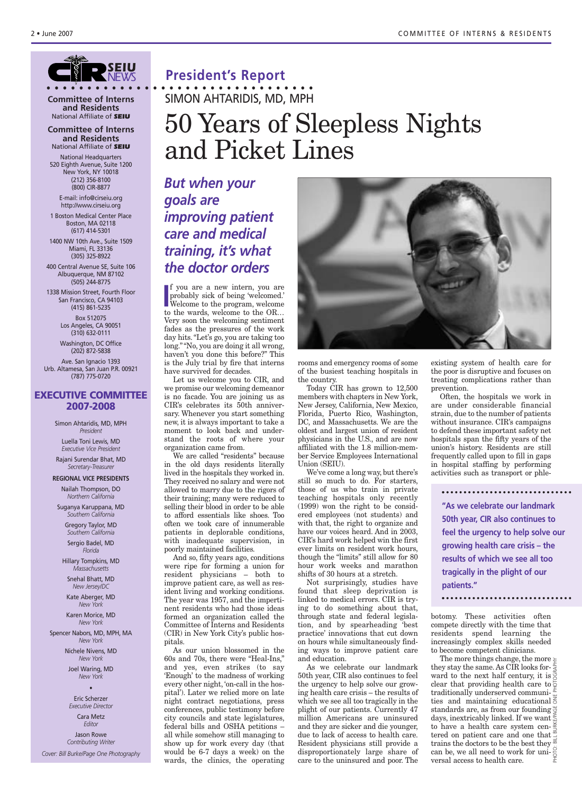### *SEIU NEWS*

**Committee of Interns and Residents** National Affiliate of *SEIU*

#### **Committee of Interns and Residents** National Affiliate of *SEIU*

National Headquarters 520 Eighth Avenue, Suite 1200 New York, NY 10018 (212) 356-8100 (800) CIR-8877

E-mail: info@cirseiu.org http://www.cirseiu.org

1 Boston Medical Center Place Boston, MA 02118 (617) 414-5301 1400 NW 10th Ave., Suite 1509 Miami, FL 33136

(305) 325-8922 400 Central Avenue SE, Suite 106 Albuquerque, NM 87102 (505) 244-8775

1338 Mission Street, Fourth Floor San Francisco, CA 94103 (415) 861-5235

> Box 512075 Los Angeles, CA 90051 (310) 632-0111

> Washington, DC Office (202) 872-5838

Ave. San Ignacio 1393 Urb. Altamesa, San Juan P.R. 00921 (787) 775-0720

### **EXECUTIVE COMMITTEE 2007-2008**

Simon Ahtaridis, MD, MPH *President*

Luella Toni Lewis, MD *Executive Vice President* Rajani Surendar Bhat, MD

*Secretary-Treasurer* **REGIONAL VICE PRESIDENTS**

Nailah Thompson, DO *Northern California*

Suganya Karuppana, MD *Southern California*

> Gregory Taylor, MD *Southern California* Sergio Badel, MD *Florida*

Hillary Tompkins, MD *Massachusetts*

Snehal Bhatt, MD *New Jersey/DC* Kate Aberger, MD

*New York* Karen Morice, MD

*New York*

Spencer Nabors, MD, MPH, MA *New York*

> Nichele Nivens, MD *New York*

Joel Waring, MD *New York*

•

Eric Scherzer *Executive Director*

> Cara Metz *Editor*

Jason Rowe *Contributing Writer*

*Cover: Bill Burke/Page One Photography*

### **President's Report**

**• • • • • • • • • • • • • • • • • • • • • • • • • • • • • • • • •** SIMON AHTARIDIS, MD, MPH

### 50 Years of Sleepless Nights and Picket Lines

*But when your goals are improving patient care and medical training, it's what the doctor orders*

I<sup>I</sup> you are a new intern, you are<br>probably sick of being 'welcomed.'<br>Welcome to the program, welcome<br>to the wards, welcome to the OR... f you are a new intern, you are probably sick of being 'welcomed.' Welcome to the program, welcome Very soon the welcoming sentiment fades as the pressures of the work day hits. "Let's go, you are taking too long." "No, you are doing it all wrong, haven't you done this before?" This is the July trial by fire that interns have survived for decades.

Let us welcome you to CIR, and we promise our welcoming demeanor is no facade. You are joining us as CIR's celebrates its 50th anniversary. Whenever you start something new, it is always important to take a moment to look back and understand the roots of where your organization came from.

We are called "residents" because in the old days residents literally lived in the hospitals they worked in. They received no salary and were not allowed to marry due to the rigors of their training; many were reduced to selling their blood in order to be able to afford essentials like shoes. Too often we took care of innumerable patients in deplorable conditions, with inadequate supervision, in poorly maintained facilities.

And so, fifty years ago, conditions were ripe for forming a union for resident physicians – both to improve patient care, as well as resident living and working conditions. The year was 1957, and the impertinent residents who had those ideas formed an organization called the Committee of Interns and Residents (CIR) in New York City's public hospitals.

As our union blossomed in the 0s and 70s, there were "Heal-Ins," and yes, even strikes (to say 'Enough' to the madness of working every other night, 'on-call in the hospital'). Later we relied more on late night contract negotiations, press conferences, public testimony before city councils and state legislatures, federal bills and OSHA petitions – all while somehow still managing to show up for work every day (that would be 6-7 days a week) on the wards, the clinics, the operating



rooms and emergency rooms of some of the busiest teaching hospitals in the country.

Today CIR has grown to 12,500 members with chapters in New York, New Jersey, California, New Mexico, Florida, Puerto Rico, Washington, DC, and Massachusetts. We are the oldest and largest union of resident physicians in the U.S., and are now affiliated with the 1.8 million-member Service Employees International Union (SEIU).

We've come a long way, but there's still so much to do. For starters, those of us who train in private teaching hospitals only recently (1999) won the right to be considered employees (not students) and with that, the right to organize and have our voices heard. And in 2003, CIR's hard work helped win the first ever limits on resident work hours, though the "limits" still allow for 80 hour work weeks and marathon shifts of 30 hours at a stretch.

Not surprisingly, studies have found that sleep deprivation is linked to medical errors. CIR is trying to do something about that, through state and federal legislation, and by spearheading 'best practice' innovations that cut down on hours while simultaneously finding ways to improve patient care and education.

As we celebrate our landmark 50th year, CIR also continues to feel the urgency to help solve our growing health care crisis – the results of which we see all too tragically in the plight of our patients. Currently 47 million Americans are uninsured and they are sicker and die younger, due to lack of access to health care. Resident physicians still provide a disproportionately large share of care to the uninsured and poor. The existing system of health care for the poor is disruptive and focuses on treating complications rather than prevention.

Often, the hospitals we work in are under considerable financial strain, due to the number of patients without insurance. CIR's campaigns to defend these important safety net hospitals span the fifty years of the union's history. Residents are still frequently called upon to fill in gaps in hospital staffing by performing activities such as transport or phle-

**"As we celebrate our landmark 50th year, CIR also continues to feel the urgency to help solve our growing health care crisis – the results of which we see all too tragically in the plight of our patients."**

botomy. These activities often compete directly with the time that residents spend learning the increasingly complex skills needed to become competent clinicians.

The more things change, the more  $\geq$ they stay the same. As CIR looks forward to the next half century, it is clear that providing health care to  $\frac{6}{5}$ traditionally underserved communities and maintaining educational  $\frac{1}{6}$ standards are, as from our founding days, inextricably linked. If we want to have a health care system centered on patient care and one that  $\frac{3}{4}$ trains the doctors to be the best they can be, we all need to work for uni- $\frac{8}{6}$ versal access to health care. PHOTO: BILL BURKE/PAGE ONE PHOTOGRAPHY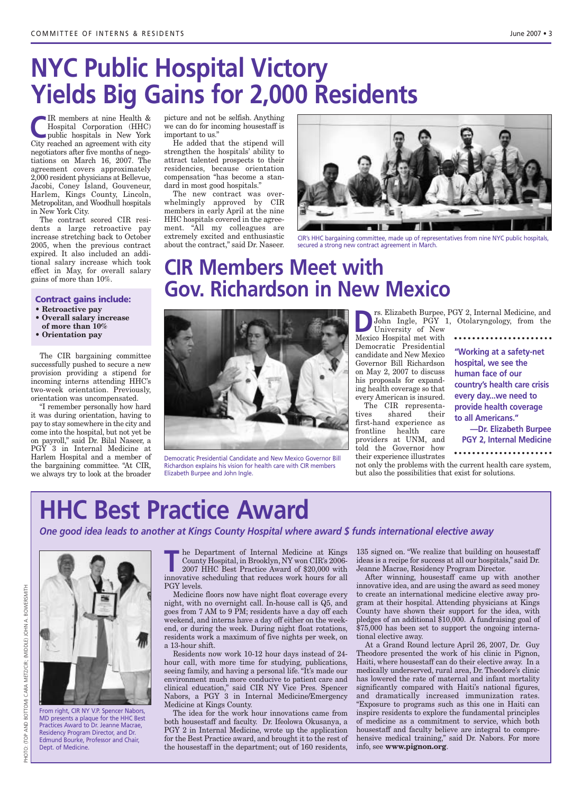### **NYC Public Hospital Victory Yields Big Gains for 2,000 Residents**

**C**IR members at nine Health &<br>
Hospital Corporation (HHC)<br>
public hospitals in New York<br>
City recebed an expressment with city Hospital Corporation (HHC) City reached an agreement with city negotiators after five months of negotiations on March 16, 2007. The agreement covers approximately 2,000 resident physicians at Bellevue, Jacobi, Coney Island, Gouveneur, Harlem, Kings County, Lincoln, Metropolitan, and Woodhull hospitals in New York City.

The contract scored CIR residents a large retroactive pay increase stretching back to October 2005, when the previous contract expired. It also included an additional salary increase which took effect in May, for overall salary gains of more than 10%.

### **Contract gains include:**

- **• Retroactive pay**
- **• Overall salary increase of more than 10%**
- **• Orientation pay**

The CIR bargaining committee successfully pushed to secure a new provision providing a stipend for incoming interns attending HHC's two-week orientation. Previously, orientation was uncompensated.

"I remember personally how hard it was during orientation, having to pay to stay somewhere in the city and come into the hospital, but not yet be on payroll," said Dr. Bilal Naseer, a PGY 3 in Internal Medicine at Harlem Hospital and a member of the bargaining committee. "At CIR, we always try to look at the broader

picture and not be selfish. Anything we can do for incoming housestaff is important to us."

He added that the stipend will strengthen the hospitals' ability to attract talented prospects to their residencies, because orientation compensation "has become a standard in most good hospitals."

The new contract was overwhelmingly approved by CIR members in early April at the nine HHC hospitals covered in the agreement. "All my colleagues are extremely excited and enthusiastic about the contract," said Dr. Naseer.



CIR's HHC bargaining committee, made up of representatives from nine NYC public hospitals, secured a strong new contract agreement in March.

### **CIR Members Meet with Gov. Richardson in New Mexico**



Democratic Presidential Candidate and New Mexico Governor Bill Richardson explains his vision for health care with CIR members Elizabeth Burpee and John Ingle.

**D**rs. Elizabeth Burpee, PGY 2, Internal Medicine, and<br>John Ingle, PGY 1, Otolaryngology, from the<br>University of New John Ingle, PGY 1, Otolaryngology, from the

University of New Mexico Hospital met with Democratic Presidential candidate and New Mexico Governor Bill Richardson on May 2, 2007 to discuss his proposals for expanding health coverage so that every American is insured.

The CIR representatives shared their first-hand experience as frontline health care providers at UNM, and told the Governor how their experience illustrates

**"Working at a safety-net hospital, we see the human face of our country's health care crisis every day...we need to provide health coverage to all Americans."**

**—Dr. Elizabeth Burpee PGY 2, Internal Medicine**

not only the problems with the current health care system, but also the possibilities that exist for solutions.

### **HHC Best Practice Award**

*One good idea leads to another at Kings County Hospital where award \$ funds international elective away*



From right, CIR NY V.P. Spencer Nabors, MD presents a plaque for the HHC Best Practices Award to Dr. Jeanne Macrae, Residency Program Director, and Dr. Edmund Bourke, Professor and Chair, Dept. of Medicine.

**The Department of Internal Medicine at Kings<br>County Hospital, in Brooklyn, NY won CIR's 2006-<br>2007 HHC Best Practice Award of \$20,000 with<br>innovative scheduling that reduces work hours for all** County Hospital, in Brooklyn, NY won CIR's 2006- 2007 HHC Best Practice Award of \$20,000 with innovative scheduling that reduces work hours for all PGY levels.

Medicine floors now have night float coverage every night, with no overnight call. In-house call is Q5, and goes from 7 AM to 9 PM; residents have a day off each weekend, and interns have a day off either on the weekend, or during the week. During night float rotations, residents work a maximum of five nights per week, on a 13-hour shift.

Residents now work 10-12 hour days instead of 24 hour call, with more time for studying, publications, seeing family, and having a personal life. "It's made our environment much more conducive to patient care and clinical education," said CIR NY Vice Pres. Spencer Nabors, a PGY 3 in Internal Medicine/Emergency Medicine at Kings County.

The idea for the work hour innovations came from both housestaff and faculty. Dr. Ifeolowa Okusanya, a PGY 2 in Internal Medicine, wrote up the application for the Best Practice award, and brought it to the rest of the housestaff in the department; out of 160 residents,

135 signed on. "We realize that building on housestaff ideas is a recipe for success at all our hospitals," said Dr. Jeanne Macrae, Residency Program Director.

After winning, housestaff came up with another innovative idea, and are using the award as seed money to create an international medicine elective away program at their hospital. Attending physicians at Kings County have shown their support for the idea, with pledges of an additional \$10,000. A fundraising goal of \$75,000 has been set to support the ongoing international elective away.

At a Grand Round lecture April 26, 2007, Dr. Guy Theodore presented the work of his clinic in Pignon, Haiti, where housestaff can do their elective away. In a medically underserved, rural area, Dr. Theodore's clinic has lowered the rate of maternal and infant mortality significantly compared with Haiti's national figures, and dramatically increased immunization rates. "Exposure to programs such as this one in Haiti can inspire residents to explore the fundamental principles of medicine as a commitment to service, which both housestaff and faculty believe are integral to comprehensive medical training," said Dr. Nabors. For more info, see **www.pignon.org**.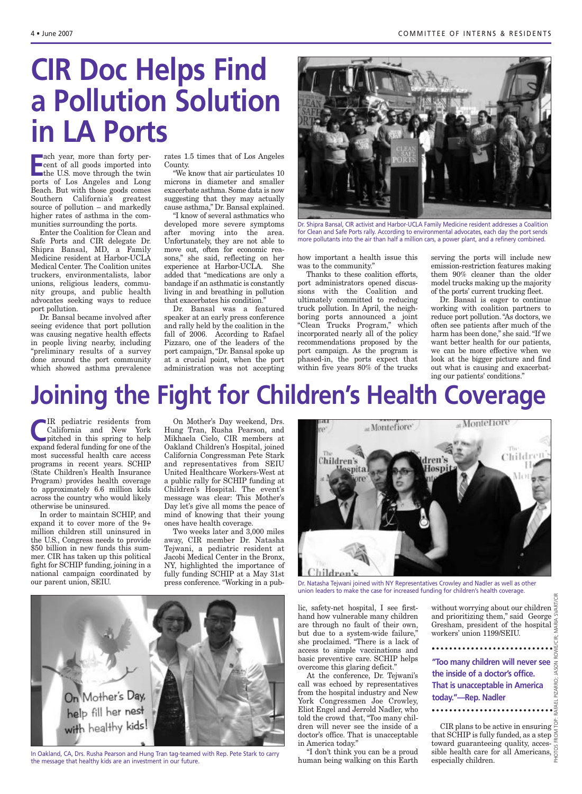## **CIR Doc Helps Find a Pollution Solution in LA Ports**

**E** ach year, more than forty percent of all goods imported into the U.S. move through the twin ports of Los Angeles and Long Beach. But with those goods comes Southern California's greatest source of pollution – and markedly higher rates of asthma in the communities surrounding the ports.

Enter the Coalition for Clean and Safe Ports and CIR delegate Dr. Shipra Bansal, MD, a Family Medicine resident at Harbor-UCLA Medical Center. The Coalition unites truckers, environmentalists, labor unions, religious leaders, community groups, and public health advocates seeking ways to reduce port pollution.

Dr. Bansal became involved after seeing evidence that port pollution was causing negative health effects in people living nearby, including "preliminary results of a survey done around the port community which showed asthma prevalence

rates 1.5 times that of Los Angeles County.

"We know that air particulates 10 microns in diameter and smaller exacerbate asthma. Some data is now suggesting that they may actually cause asthma," Dr. Bansal explained. "I know of several asthmatics who

developed more severe symptoms after moving into the area. Unfortunately, they are not able to move out, often for economic reasons," she said, reflecting on her experience at Harbor-UCLA. She added that "medications are only a bandage if an asthmatic is constantly living in and breathing in pollution that exacerbates his condition."

Dr. Bansal was a featured speaker at an early press conference and rally held by the coalition in the fall of 2006. According to Rafael Pizzaro, one of the leaders of the port campaign, "Dr. Bansal spoke up at a crucial point, when the port administration was not accepting



Dr. Shipra Bansal, CIR activist and Harbor-UCLA Family Medicine resident addresses a Coalition for Clean and Safe Ports rally. According to environmental advocates, each day the port sends more pollutants into the air than half a million cars, a power plant, and a refinery combined.

how important a health issue this was to the community."

Thanks to these coalition efforts, port administrators opened discussions with the Coalition and ultimately committed to reducing truck pollution. In April, the neighboring ports announced a joint "Clean Trucks Program," which incorporated nearly all of the policy recommendations proposed by the port campaign. As the program is phased-in, the ports expect that within five years 80% of the trucks serving the ports will include new emission-restriction features making them 90% cleaner than the older model trucks making up the majority of the ports' current trucking fleet.

Dr. Bansal is eager to continue working with coalition partners to reduce port pollution. "As doctors, we often see patients after much of the harm has been done," she said. "If we want better health for our patients, we can be more effective when we look at the bigger picture and find out what is causing and exacerbating our patients' conditions."

### **Joining the Fight for Children's Health Coverage**

**C**IR pediatric residents from<br>
California and New York<br>
pitched in this spring to help<br>
error of the California and New York expand federal funding for one of the most successful health care access programs in recent years. SCHIP (State Children's Health Insurance Program) provides health coverage to approximately 6.6 million kids across the country who would likely otherwise be uninsured.

In order to maintain SCHIP, and expand it to cover more of the 9+ million children still uninsured in the U.S., Congress needs to provide \$50 billion in new funds this summer. CIR has taken up this political fight for SCHIP funding, joining in a national campaign coordinated by our parent union, SEIU.

On Mother's Day weekend, Drs. Hung Tran, Rusha Pearson, and Mikhaela Cielo, CIR members at Oakland Children's Hospital, joined California Congressman Pete Stark and representatives from SEIU United Healthcare Workers-West at a public rally for SCHIP funding at Children's Hospital. The event's message was clear: This Mother's Day let's give all moms the peace of mind of knowing that their young ones have health coverage.

Two weeks later and 3,000 miles away, CIR member Dr. Natasha Tejwani, a pediatric resident at Jacobi Medical Center in the Bronx, NY, highlighted the importance of fully funding SCHIP at a May 31st press conference. "Working in a pub-



Dr. Natasha Tejwani joined with NY Representatives Crowley and Nadler as well as other union leaders to make the case for increased funding for children's health coverage.

lic, safety-net hospital, I see firsthand how vulnerable many children are through no fault of their own, but due to a system-wide failure," she proclaimed. "There is a lack of access to simple vaccinations and basic preventive care. SCHIP helps overcome this glaring deficit."

At the conference, Dr. Tejwani's call was echoed by representatives from the hospital industry and New York Congressmen Joe Crowley, Eliot Engel and Jerrold Nadler, who told the crowd that, "Too many children will never see the inside of a doctor's office. That is unacceptable in America today."

"I don't think you can be a proud human being walking on this Earth

PHOTOS FROM TOP: RAFAEL PIZARRO; JASON ROWE/CIR; MARIA SVART/CIR without worrying about our children and prioritizing them," said George and prioritizing them, said George workers' union 1199/SEIU.

**"Too many children will never see the inside of a doctor's office. That is unacceptable in America today."—Rep. Nadler**

RAFAEL PIZARRO; JASON

CIR plans to be active in ensuring  $\frac{8}{5}$ that SCHIP is fully funded, as a step toward guaranteeing quality, accessible health care for all Americans,



In Oakland, CA, Drs. Rusha Pearson and Hung Tran tag-teamed with Rep. Pete Stark to carry **The U.S. A. The Music A**<br>the message that healthy kids are an investment in our future.<br>**human being walking on this Earth** especia the message that healthy kids are an investment in our future.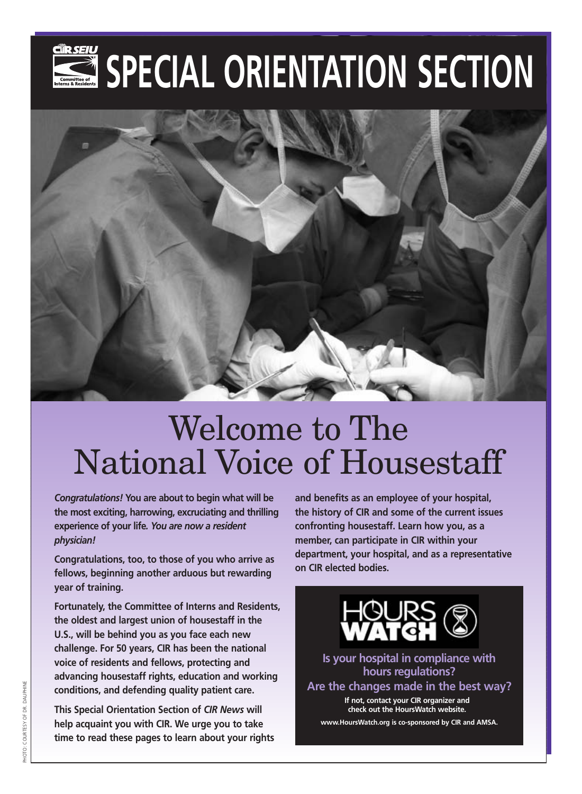# SPECIAL ORIENTATION SECTION



# Welcome to The National Voice of Housestaff

*Congratulations!* **You are about to begin what will be the most exciting, harrowing, excruciating and thrilling experience of your life***. You are now a resident physician!* 

**Congratulations, too, to those of you who arrive as fellows, beginning another arduous but rewarding year of training.**

**Fortunately, the Committee of Interns and Residents, the oldest and largest union of housestaff in the U.S., will be behind you as you face each new challenge. For 50 years, CIR has been the national voice of residents and fellows, protecting and advancing housestaff rights, education and working conditions, and defending quality patient care.**

**This Special Orientation Section of** *CIR News* **will help acquaint you with CIR. We urge you to take time to read these pages to learn about your rights** **and benefits as an employee of your hospital, the history of CIR and some of the current issues confronting housestaff. Learn how you, as a member, can participate in CIR within your department, your hospital, and as a representative on CIR elected bodies.**



**Is your hospital in compliance with hours regulations? Are the changes made in the best way?** 

**If not, contact your CIR organizer and check out the HoursWatch website.**

**www.HoursWatch.org is co-sponsored by CIR and AMSA.**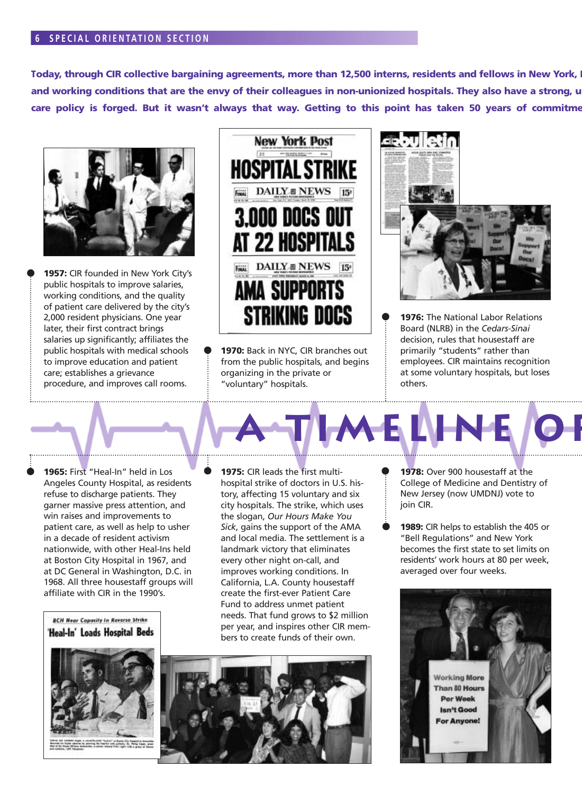### **6 SPECIAL ORIENTATION SECTION**

Today, through CIR collective bargaining agreements, more than 12,500 interns, residents and fellows in New York, I and working conditions that are the envy of their colleagues in non-unionized hospitals. They also have a strong, u care policy is forged. But it wasn't always that way. Getting to this point has taken 50 years of commitme



**1957:** CIR founded in New York City's public hospitals to improve salaries, working conditions, and the quality of patient care delivered by the city's 2,000 resident physicians. One year later, their first contract brings salaries up significantly; affiliates the public hospitals with medical schools to improve education and patient care; establishes a grievance procedure, and improves call rooms.



**1970:** Back in NYC, CIR branches out from the public hospitals, and begins organizing in the private or "voluntary" hospitals.



**1976:** The National Labor Relations Board (NLRB) in the *Cedars-Sinai* decision, rules that housestaff are primarily "students" rather than employees. CIR maintains recognition at some voluntary hospitals, but loses others.

**1965:** First "Heal-In" held in Los Angeles County Hospital, as residents refuse to discharge patients. They garner massive press attention, and win raises and improvements to patient care, as well as help to usher in a decade of resident activism nationwide, with other Heal-Ins held at Boston City Hospital in 1967, and at DC General in Washington, D.C. in 1968. All three housestaff groups will affiliate with CIR in the 1990's.

**1975:** CIR leads the first multihospital strike of doctors in U.S. history, affecting 15 voluntary and six city hospitals. The strike, which uses the slogan, *Our Hours Make You Sick*, gains the support of the AMA and local media. The settlement is a landmark victory that eliminates every other night on-call, and improves working conditions. In California, L.A. County housestaff create the first-ever Patient Care Fund to address unmet patient needs. That fund grows to \$2 million per year, and inspires other CIR members to create funds of their own.

**BCH Near Capacity In Reverse Strike** 'Heal-In' Loads Hospital Beds





**1978:** Over 900 housestaff at the College of Medicine and Dentistry of New Jersey (now UMDNJ) vote to join CIR.

**A THE REAL** 

**1989:** CIR helps to establish the 405 or "Bell Regulations" and New York becomes the first state to set limits on residents' work hours at 80 per week, averaged over four weeks.

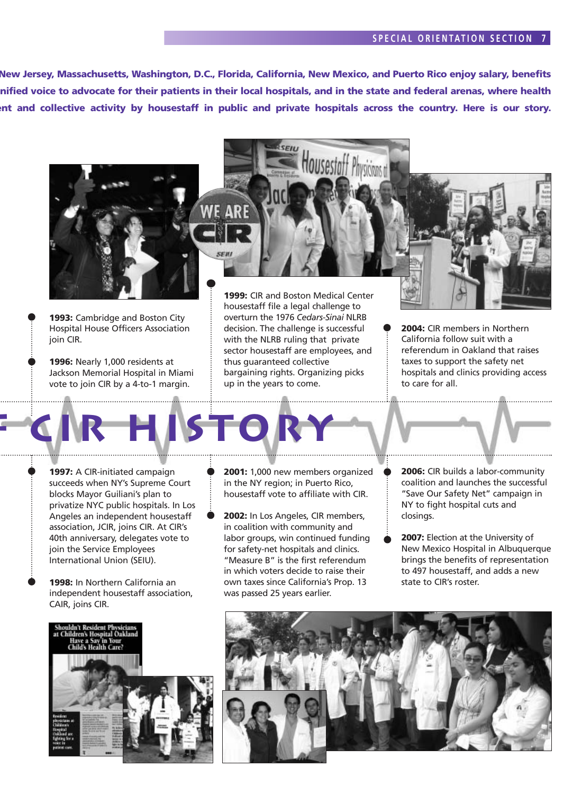### **S PECIAL ORIENTATION SECTION 7**

**New Jersey, Massachusetts, Washington, D.C., Florida, California, New Mexico, and Puerto Rico enjoy salary, benefits unified voice to advocate for their patients in their local hospitals, and in the state and federal arenas, where health nt and collective activity by housestaff in public and private hospitals across the country. Here is our story.** 



**1993:** Cambridge and Boston City Hospital House Officers Association join CIR.

**1996:** Nearly 1,000 residents at Jackson Memorial Hospital in Miami vote to join CIR by a 4-to-1 margin.

**f CIR History**

overturn the 1976 *Cedars-Sinai* NLRB decision. The challenge is successful with the NLRB ruling that private sector housestaff are employees, and thus guaranteed collective bargaining rights. Organizing picks up in the years to come.

**2004:** CIR members in Northern California follow suit with a referendum in Oakland that raises taxes to support the safety net hospitals and clinics providing access to care for all.

**1997:** A CIR-initiated campaign succeeds when NY's Supreme Court blocks Mayor Guiliani's plan to privatize NYC public hospitals. In Los Angeles an independent housestaff association, JCIR, joins CIR. At CIR's 40th anniversary, delegates vote to join the Service Employees International Union (SEIU).

**1998:** In Northern California an independent housestaff association, CAIR, joins CIR.



- **2001:** 1,000 new members organized in the NY region; in Puerto Rico, housestaff vote to affiliate with CIR.
- **2002:** In Los Angeles, CIR members, in coalition with community and labor groups, win continued funding for safety-net hospitals and clinics. "Measure B" is the first referendum in which voters decide to raise their own taxes since California's Prop. 13 was passed 25 years earlier.
- **2006:** CIR builds a labor-community coalition and launches the successful "Save Our Safety Net" campaign in NY to fight hospital cuts and closings.
- **2007:** Election at the University of New Mexico Hospital in Albuquerque brings the benefits of representation to 497 housestaff, and adds a new state to CIR's roster.

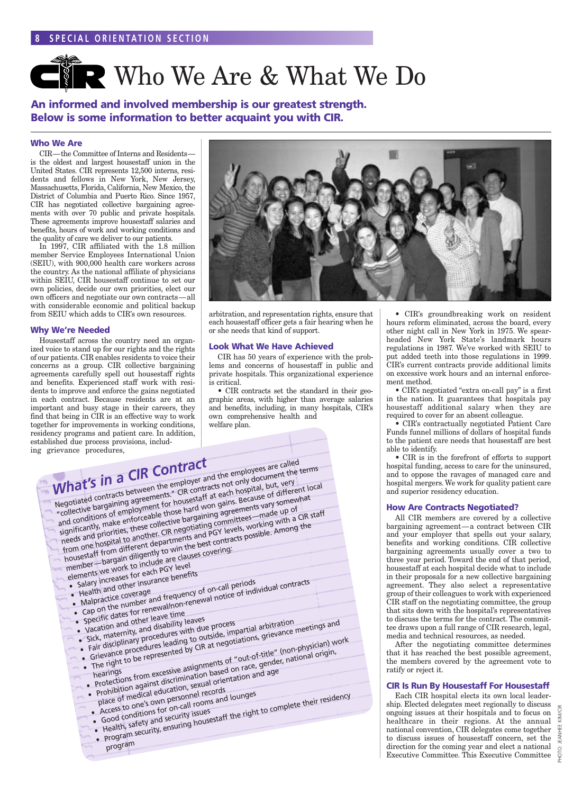# **CNR Who We Are & What We Do**

**An informed and involved membership is our greatest strength. Below is some information to better acquaint you with CIR.**

### **Who We Are**

CIR—the Committee of Interns and Residents is the oldest and largest housestaff union in the United States. CIR represents 12,500 interns, residents and fellows in New York, New Jersey, Massachusetts, Florida, California, New Mexico, the District of Columbia and Puerto Rico. Since 1957, CIR has negotiated collective bargaining agreements with over 70 public and private hospitals. These agreements improve housestaff salaries and benefits, hours of work and working conditions and the quality of care we deliver to our patients.

In 1997, CIR affiliated with the 1.8 million member Service Employees International Union (SEIU), with 900,000 health care workers across the country. As the national affiliate of physicians within SEIU, CIR housestaff continue to set our own policies, decide our own priorities, elect our own officers and negotiate our own contracts—all with considerable economic and political backup from SEIU which adds to CIR's own resources.

### **Why We're Needed**

Housestaff across the country need an organized voice to stand up for our rights and the rights of our patients. CIR enables residents to voice their concerns as a group. CIR collective bargaining agreements carefully spell out housestaff rights and benefits. Experienced staff work with residents to improve and enforce the gains negotiated in each contract. Because residents are at an important and busy stage in their careers, they find that being in CIR is an effective way to work together for improvements in working conditions, residency programs and patient care. In addition, established due process provisions, including g



arbitration, and representation rights, ensure that each housestaff officer gets a fair hearing when he or she needs that kind of support.

### **Look What We Have Achieved**

CIR has 50 years of experience with the problems and concerns of housestaff in public and private hospitals. This organizational experience is critical.

• CIR contracts set the standard in their geographic areas, with higher than average salaries and benefits, including, in many hospitals, CIR's own comprehensive health and welfare plan.

| grievance procedures,<br>What's in a CIR Contract<br>Negotiated contracts between the employer and the employees are called<br>Inegulated with acts between the employer and the employees are cannot the terms<br>and conditions of employment for housestaff at each hospital, but, very<br>significantly, make enforceable those hard won gains. Because of different local<br>needs and priorities, these collective bargaining agreements vary somewhat<br>from one hospital to another. CIR negotiating committees—made up of<br>housestaff from different departments and PGY levels, working with a CIR staff<br>member—bargain diligently to win the best contracts possible. Among the<br>elements we work to include are clauses covering:<br>• Salary increases for each PGY level<br>• Health and other insurance benefits<br>• Specific dates for renewal/non-renewal notice of individual contracts<br>• Cap on the number and frequency of on-call periods.<br>• Malpractice coverage<br>• Vacation and other leave time<br>Sick, maternity, and disability leaves<br>• Grievance procedures leading to outside, impartial arbitration<br>• Fair disciplinary procedures with due process<br>• The right to be represented by CIR at negotiations, grievance meetings and<br>• Protections from excessive assignments of "out-of-title" (non-physician) work<br>. Prohibition against discrimination based on race, gender, national origin,<br>place of medical education, sexual orientation and age<br>$\overline{\phantom{a}}$ |  |
|----------------------------------------------------------------------------------------------------------------------------------------------------------------------------------------------------------------------------------------------------------------------------------------------------------------------------------------------------------------------------------------------------------------------------------------------------------------------------------------------------------------------------------------------------------------------------------------------------------------------------------------------------------------------------------------------------------------------------------------------------------------------------------------------------------------------------------------------------------------------------------------------------------------------------------------------------------------------------------------------------------------------------------------------------------------------------------------------------------------------------------------------------------------------------------------------------------------------------------------------------------------------------------------------------------------------------------------------------------------------------------------------------------------------------------------------------------------------------------------------------------------------------------------------------|--|
| • Access to one's own personnel records<br>• Good conditions for on-call rooms and lounges<br>• Program security, ensuring housestaff the right to complete their residency<br>$\overline{\phantom{m}}$                                                                                                                                                                                                                                                                                                                                                                                                                                                                                                                                                                                                                                                                                                                                                                                                                                                                                                                                                                                                                                                                                                                                                                                                                                                                                                                                            |  |
|                                                                                                                                                                                                                                                                                                                                                                                                                                                                                                                                                                                                                                                                                                                                                                                                                                                                                                                                                                                                                                                                                                                                                                                                                                                                                                                                                                                                                                                                                                                                                    |  |
| • Health, safety and security issues                                                                                                                                                                                                                                                                                                                                                                                                                                                                                                                                                                                                                                                                                                                                                                                                                                                                                                                                                                                                                                                                                                                                                                                                                                                                                                                                                                                                                                                                                                               |  |
|                                                                                                                                                                                                                                                                                                                                                                                                                                                                                                                                                                                                                                                                                                                                                                                                                                                                                                                                                                                                                                                                                                                                                                                                                                                                                                                                                                                                                                                                                                                                                    |  |
|                                                                                                                                                                                                                                                                                                                                                                                                                                                                                                                                                                                                                                                                                                                                                                                                                                                                                                                                                                                                                                                                                                                                                                                                                                                                                                                                                                                                                                                                                                                                                    |  |
| program                                                                                                                                                                                                                                                                                                                                                                                                                                                                                                                                                                                                                                                                                                                                                                                                                                                                                                                                                                                                                                                                                                                                                                                                                                                                                                                                                                                                                                                                                                                                            |  |

• CIR's groundbreaking work on resident hours reform eliminated, across the board, every other night call in New York in 1975. We spearheaded New York State's landmark hours regulations in 1987. We've worked with SEIU to put added teeth into those regulations in 1999. CIR's current contracts provide additional limits on excessive work hours and an internal enforcement method.

• CIR's negotiated "extra on-call pay" is a first in the nation. It guarantees that hospitals pay housestaff additional salary when they are required to cover for an absent colleague.

• CIR's contractually negotiated Patient Care Funds funnel millions of dollars of hospital funds to the patient care needs that housestaff are best able to identify.

• CIR is in the forefront of efforts to support hospital funding, access to care for the uninsured, and to oppose the ravages of managed care and hospital mergers. We work for quality patient care and superior residency education.

### **How Are Contracts Negotiated?**

All CIR members are covered by a collective bargaining agreement—a contract between CIR and your employer that spells out your salary, benefits and working conditions. CIR collective bargaining agreements usually cover a two to three year period. Toward the end of that period, housestaff at each hospital decide what to include in their proposals for a new collective bargaining agreement. They also select a representative group of their colleagues to work with experienced CIR staff on the negotiating committee, the group that sits down with the hospital's representatives to discuss the terms for the contract. The committee draws upon a full range of CIR research, legal, media and technical resources, as needed.

After the negotiating committee determines that it has reached the best possible agreement, the members covered by the agreement vote to ratify or reject it.

### **CIR Is Run By Housestaff For Housestaff**

Each CIR hospital elects its own local leadership. Elected delegates meet regionally to discuss ongoing issues at their hospitals and to focus on healthcare in their regions. At the annual national convention, CIR delegates come together to discuss issues of housestaff concern, set the direction for the coming year and elect a national Executive Committee. This Executive Committee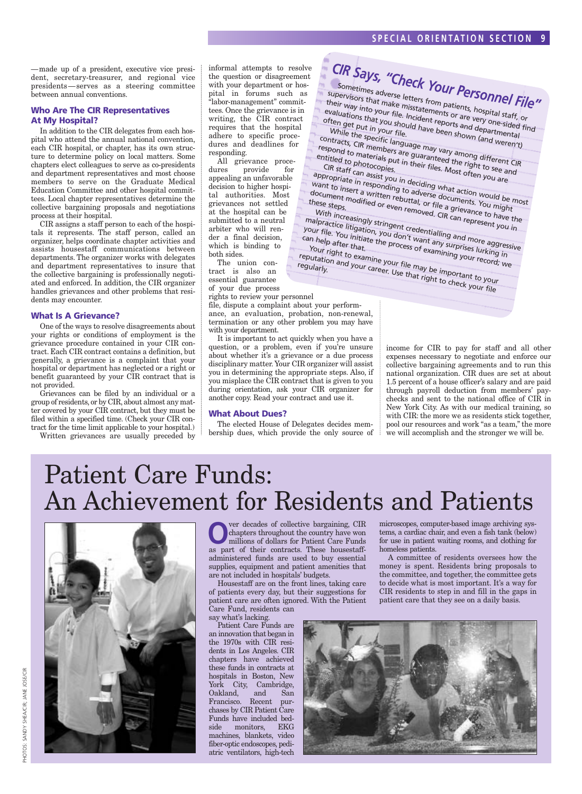—made up of a president, executive vice president, secretary-treasurer, and regional vice presidents—serves as a steering committee between annual conventions.

### **Who Are The CIR Representatives At My Hospital?**

In addition to the CIR delegates from each hospital who attend the annual national convention, each CIR hospital, or chapter, has its own structure to determine policy on local matters. Some chapters elect colleagues to serve as co-presidents and department representatives and most choose members to serve on the Graduate Medical Education Committee and other hospital committees. Local chapter representatives determine the collective bargaining proposals and negotiations process at their hospital.

CIR assigns a staff person to each of the hospitals it represents. The staff person, called an organizer, helps coordinate chapter activities and assists housestaff communications between departments. The organizer works with delegates and department representatives to insure that the collective bargaining is professionally negotiated and enforced. In addition, the CIR organizer handles grievances and other problems that residents may encounter.

#### **What Is A Grievance?**

One of the ways to resolve disagreements about your rights or conditions of employment is the grievance procedure contained in your CIR contract. Each CIR contract contains a definition, but generally, a grievance is a complaint that your hospital or department has neglected or a right or benefit guaranteed by your CIR contract that is not provided.

Grievances can be filed by an individual or a group of residents, or by CIR, about almost any matter covered by your CIR contract, but they must be filed within a specified time. (Check your CIR contract for the time limit applicable to your hospital.)

Written grievances are usually preceded by

informal attempts to resolve the question or disagreement with your department or hospital in forums such as "labor-management" committees. Once the grievance is in writing, the CIR contract requires that the hospital adhere to specific procedures and deadlines for responding.

All grievance proce-<br>dures provide for provide for appealing an unfavorable decision to higher hospital authorities. Most grievances not settled at the hospital can be submitted to a neutral arbiter who will render a final decision, which is binding to both sides.

The union contract is also an essential guarantee of your due process

rights to review your personnel

file, dispute a complaint about your performance, an evaluation, probation, non-renewal, termination or any other problem you may have with your department.

ca

It is important to act quickly when you have a question, or a problem, even if you're unsure about whether it's a grievance or a due process disciplinary matter. Your CIR organizer will assist you in determining the appropriate steps. Also, if you misplace the CIR contract that is given to you during orientation, ask your CIR organizer for another copy. Read your contract and use it.

#### **What About Dues?**

The elected House of Delegates decides membership dues, which provide the only source of

*CIR Says, "Check Your Personnel File"* Sometimes adverse letters from patients, hospital staff, or<br>their way into your file. Incidements or are very one-sided fir<br>evaluations that you should have peorts and departmental supervisors that make misstatements or are very one-sided find their way into your file. Incident reports and departments<br>evaluations that you should have been shown (asset of the specific while the specific while the specific specifies evaluations that you should have been shown (and weren't) While the specific language may vary among different CIR<br>respond to materials put in their files Marting to see and contracts, CIR members are guaranteed the right to see and<br>respond to materials put in their files. Most offen to see and<br>entitled to photocopies.<br>Fig. Staff can accident respond to materials put in their files. Most often you are CIR staff can assist you in deciding what action<br>want to insert a written rebuttal, or file a documents. You might<br>these stars, modified or even to all a discussion would be most appropriate in responding to adverse documents. You might appropriate in responding to adverse documents, you imgite want to insert a written rebuttal, or file a grievance to have the document modified or even renuced action would be maked these steps.<br>these steps.<br>With increasingly stringent credent: CIR can represent you in these steps. With increasingly stringent credentialling and more aggressive<br>alpractice litigation, you don't want any sand more aggressive<br>thelp after that, the process of example in the surprises lurking<br>our right that, malpractice litigation, you don't want and represent you<br>our file. You initiate the process of examining and more aggres<br>an help after that, the process of examining your right to examining your The process of examining your record; we want to the process of examining your record; we Y n h <sup>1el</sup>p after that.<br><sup>Ur right</sub></sup> rineip arter that.<br>Your right to examine your file may be important to your reputation and your career. Use that right to check your file<br>"egularly." And your career. Use that right to check your file<br>"egularly." Career. Use that right to check your file regularly.

income for CIR to pay for staff and all other expenses necessary to negotiate and enforce our collective bargaining agreements and to run this national organization. CIR dues are set at about 1.5 percent of a house officer's salary and are paid through payroll deduction from members' paychecks and sent to the national office of CIR in New York City. As with our medical training, so with CIR: the more we as residents stick together, pool our resources and work "as a team," the more we will accomplish and the stronger we will be.

### Patient Care Funds: An Achievement for Residents and Patients



**O**ver decades of collective bargaining, CIR<br>chapters throughout the country have won<br>millions of dollars for Patient Care Funds chapters throughout the country have won millions of dollars for Patient Care Funds as part of their contracts. These housestaffadministered funds are used to buy essential supplies, equipment and patient amenities that are not included in hospitals' budgets.

Housestaff are on the front lines, taking care of patients every day, but their suggestions for patient care are often ignored. With the Patient Care Fund, residents can

say what's lacking.

Patient Care Funds are an innovation that began in the 1970s with CIR residents in Los Angeles. CIR chapters have achieved these funds in contracts at hospitals in Boston, New York City, Cambridge, Oakland, and San Francisco. Recent purchases by CIR Patient Care Funds have included bedside monitors, EKG machines, blankets, video fiber-optic endoscopes, pediatric ventilators, high-tech

microscopes, computer-based image archiving systems, a cardiac chair, and even a fish tank (below) for use in patient waiting rooms, and clothing for homeless patients.

A committee of residents oversees how the money is spent. Residents bring proposals to the committee, and together, the committee gets to decide what is most important. It's a way for CIR residents to step in and fill in the gaps in patient care that they see on a daily basis.

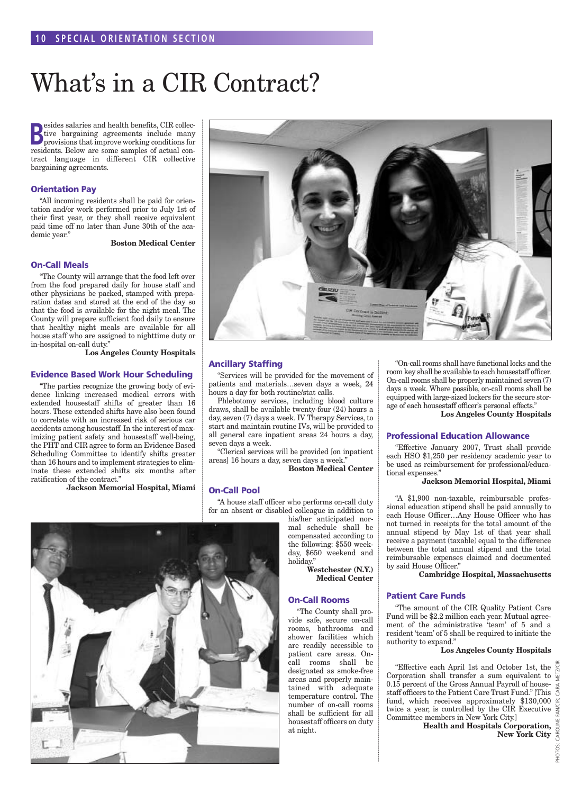### What's in a CIR Contract?

**B**esides salaries and health benefits, CIR collective bargaining agreements include many provisions that improve working conditions for **Example 3** esides salaries and health benefits, CIR collective bargaining agreements include many residents. Below are some samples of actual contract language in different CIR collective bargaining agreements.

### **Orientation Pay**

"All incoming residents shall be paid for orientation and/or work performed prior to July 1st of their first year, or they shall receive equivalent paid time off no later than June 30th of the academic year."

**Boston Medical Center**

#### **On-Call Meals**

"The County will arrange that the food left over from the food prepared daily for house staff and other physicians be packed, stamped with preparation dates and stored at the end of the day so that the food is available for the night meal. The County will prepare sufficient food daily to ensure that healthy night meals are available for all house staff who are assigned to nighttime duty or in-hospital on-call duty."

**Los Angeles County Hospitals**

#### **Evidence Based Work Hour Scheduling**

"The parties recognize the growing body of evidence linking increased medical errors with extended housestaff shifts of greater than 16 hours. These extended shifts have also been found to correlate with an increased risk of serious car accidents among housestaff. In the interest of maximizing patient safety and housestaff well-being, the PHT and CIR agree to form an Evidence Based Scheduling Committee to identify shifts greater than 16 hours and to implement strategies to eliminate these extended shifts six months after ratification of the contract."

**Jackson Memorial Hospital, Miami**



### **Ancillary Staffing**

"Services will be provided for the movement of patients and materials…seven days a week, 24 hours a day for both routine/stat calls.

Phlebotomy services, including blood culture draws, shall be available twenty-four (24) hours a day, seven (7) days a week. IV Therapy Services, to start and maintain routine IVs, will be provided to all general care inpatient areas 24 hours a day, seven days a week.

"Clerical services will be provided [on inpatient areas] 16 hours a day, seven days a week."

**Boston Medical Center**

### **On-Call Pool**

"A house staff officer who performs on-call duty for an absent or disabled colleague in addition to

his/her anticipated normal schedule shall be compensated according to the following: \$550 weekday, \$650 weekend and holiday."

> **Westchester (N.Y.) Medical Center**

### **On-Call Rooms**

"The County shall provide safe, secure on-call rooms, bathrooms and shower facilities which are readily accessible to patient care areas. Oncall rooms shall be designated as smoke-free areas and properly maintained with adequate temperature control. The number of on-call rooms shall be sufficient for all housestaff officers on duty at night.

"On-call rooms shall have functional locks and the room key shall be available to each housestaff officer. On-call rooms shall be properly maintained seven (7) days a week. Where possible, on-call rooms shall be equipped with large-sized lockers for the secure storage of each housestaff officer's personal effects."

**Los Angeles County Hospitals**

#### **Professional Education Allowance**

"Effective January 2007, Trust shall provide each HSO \$1,250 per residency academic year to be used as reimbursement for professional/educational expenses."

#### **Jackson Memorial Hospital, Miami**

"A \$1,900 non-taxable, reimbursable professional education stipend shall be paid annually to each House Officer…Any House Officer who has not turned in receipts for the total amount of the annual stipend by May 1st of that year shall receive a payment (taxable) equal to the difference between the total annual stipend and the total reimbursable expenses claimed and documented by said House Officer."

**Cambridge Hospital, Massachusetts**

### **Patient Care Funds**

"The amount of the CIR Quality Patient Care Fund will be \$2.2 million each year. Mutual agreement of the administrative 'team' of 5 and a resident 'team' of 5 shall be required to initiate the authority to expand."

#### **Los Angeles County Hospitals**

"Effective each April 1st and October 1st, the Corporation shall transfer a sum equivalent to 0.15 percent of the Gross Annual Payroll of housestaff officers to the Patient Care Trust Fund." [This fund, which receives approximately \$130,000 twice a year, is controlled by the CIR Executive Committee members in New York City.]

**Health and Hospitals Corporation, New York City**

PHOTOS: CAROLINE FAN/CIR; CARA METZ/CIR

PHOTOS·

"<br>M CARA

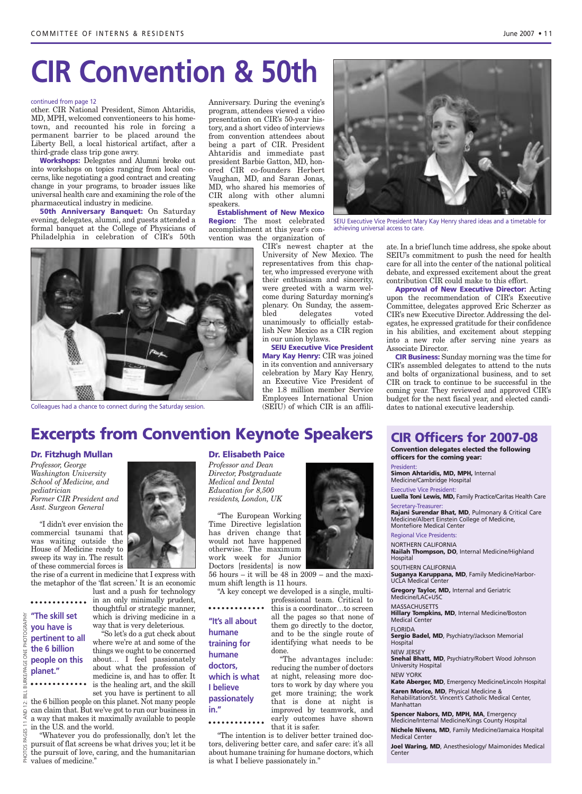# **CIR Convention & 50th**

#### continued from page 12

other. CIR National President, Simon Ahtaridis, MD, MPH, welcomed conventioneers to his hometown, and recounted his role in forcing a permanent barrier to be placed around the Liberty Bell, a local historical artifact, after a third-grade class trip gone awry.

**Workshops:** Delegates and Alumni broke out into workshops on topics ranging from local concerns, like negotiating a good contract and creating change in your programs, to broader issues like universal health care and examining the role of the pharmaceutical industry in medicine.

**50th Anniversary Banquet:** On Saturday evening, delegates, alumni, and guests attended a formal banquet at the College of Physicians of Philadelphia in celebration of CIR's 50th

Anniversary. During the evening's program, attendees viewed a video presentation on CIR's 50-year history, and a short video of interviews from convention attendees about being a part of CIR. President Ahtaridis and immediate past president Barbie Gatton, MD, honored CIR co-founders Herbert Vaughan, MD, and Saran Jonas, MD, who shared his memories of CIR along with other alumni speakers.

**Establishment of New Mexico Region:** The most celebrated accomplishment at this year's convention was the organization of

CIR's newest chapter at the University of New Mexico. The representatives from this chapter, who impressed everyone with their enthusiasm and sincerity, were greeted with a warm welcome during Saturday morning's plenary. On Sunday, the assem-<br>bled delegates voted delegates voted unanimously to officially establish New Mexico as a CIR region in our union bylaws.

**SEIU Executive Vice President Mary Kay Henry:** CIR was joined in its convention and anniversary celebration by Mary Kay Henry, an Executive Vice President of the 1.8 million member Service Employees International Union (SEIU) of which CIR is an affili-



SEIU Executive Vice President Mary Kay Henry shared ideas and a timetable for achieving universal access to care.

ate. In a brief lunch time address, she spoke about SEIU's commitment to push the need for health care for all into the center of the national political debate, and expressed excitement about the great contribution CIR could make to this effort.

**Approval of New Executive Director:** Acting upon the recommendation of CIR's Executive Committee, delegates approved Eric Scherzer as CIR's new Executive Director. Addressing the delegates, he expressed gratitude for their confidence in his abilities, and excitement about stepping into a new role after serving nine years as Associate Director.

**CIR Business:** Sunday morning was the time for CIR's assembled delegates to attend to the nuts and bolts of organizational business, and to set CIR on track to continue to be successful in the coming year. They reviewed and approved CIR's budget for the next fiscal year, and elected candidates to national executive leadership.



Colleagues had a chance to connect during the Saturday session.

### **Excerpts from Convention Keynote Speakers**

#### **Dr. Fitzhugh Mullan**

*Professor, George Washington University School of Medicine, and pediatrician Former CIR President and Asst. Surgeon General*

"I didn't ever envision the commercial tsunami that was waiting outside the House of Medicine ready to sweep its way in. The result of these commercial forces is

**"The skill set you have is pertinent to all the 6 billion people on this**

**planet."**

the rise of a current in medicine that I express with the metaphor of the 'flat screen.' It is an economic

lust and a push for technology in an only minimally prudent, thoughtful or strategic manner, which is driving medicine in a way that is very deleterious.

"So let's do a gut check about where we're at and some of the things we ought to be concerned about… I feel passionately about what the profession of medicine is, and has to offer. It is the healing art, and the skill set you have is pertinent to all

the 6 billion people on this planet. Not many people can claim that. But we've got to run our business in a way that makes it maximally available to people in the U.S. and the world.

"Whatever you do professionally, don't let the pursuit of flat screens be what drives you; let it be the pursuit of love, caring, and the humanitarian values of medicine."

### **Dr. Elisabeth Paice**

*Professor and Dean Director, Postgraduate Medical and Dental Education for 8,500 residents, London, UK*

"The European Working Time Directive legislation has driven change that would not have happened otherwise. The maximum work week for Junior Doctors [residents] is now

**"It's all about**

**which is what**

**humane training for humane doctors,** 

**I believe passionately**

**in."**

56 hours – it will be 48 in 2009 – and the maximum shift length is 11 hours.

"A key concept we developed is a single, multiprofessional team. Critical to

this is a coordinator…to screen all the pages so that none of them go directly to the doctor, and to be the single route of identifying what needs to be done.

"The advantages include: reducing the number of doctors at night, releasing more doctors to work by day where you get more training; the work that is done at night is improved by teamwork, and early outcomes have shown that it is safer.

"The intention is to deliver better trained doctors, delivering better care, and safer care: it's all about humane training for humane doctors, which is what I believe passionately in."



**CIR Officers for 2007-08**

**Convention delegates elected the following officers for the coming year:**

President:

**Simon Ahtaridis, MD, MPH,** Internal Medicine/Cambridge Hospital

Executive Vice President: **Luella Toni Lewis, MD,** Family Practice/Caritas Health Care Secretary-Treasurer:

**Rajani Surendar Bhat, MD**, Pulmonary & Critical Care Medicine/Albert Einstein College of Medicine, Montefiore Medical Center

### Regional Vice Presidents:

NORTHERN CALIFORNIA **Nailah Thompson, DO**, Internal Medicine/Highland Hospital

SOUTHERN CALIFORNIA

**Suganya Karuppana, MD**, Family Medicine/Harbor-UCLA Medical Center

**Gregory Taylor, MD,** Internal and Geriatric Medicine/LAC+USC

MASSACHUSETTS

**Hillary Tompkins, MD**, Internal Medicine/Boston Medical Center

**FLORIDA Sergio Badel, MD**, Psychiatry/Jackson Memorial Hospital

NEW JERSEY **Snehal Bhatt, MD**, Psychiatry/Robert Wood Johnson

University Hospital NEW YORK

**Kate Aberger, MD**, Emergency Medicine/Lincoln Hospital

**Karen Morice, MD**, Physical Medicine & Rehabilitation/St. Vincent's Catholic Medical Center, Manhattan

#### **Spencer Nabors, MD, MPH, MA**, Emergency

Medicine/Internal Medicine/Kings County Hospital **Nichele Nivens, MD**, Family Medicine/Jamaica Hospital Medical Center

**Joel Waring, MD**, Anesthesiology/ Maimonides Medical Center